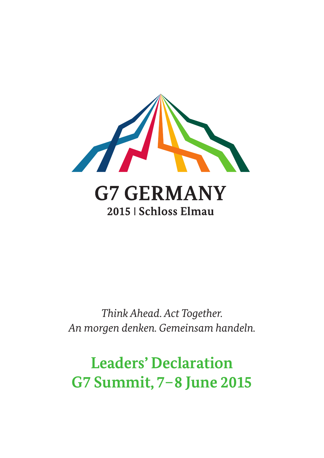

*Think Ahead. Act Together. An morgen denken. Gemeinsam handeln.* 

# **Leaders' Declaration G7 Summit, 7–8 June 2015**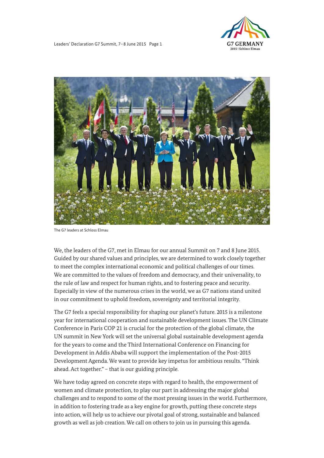

Leaders' Declaration G7 Summit, 7–8 June 2015 Page 1



The G7 leaders at Schloss Elmau

We, the leaders of the G7, met in Elmau for our annual Summit on 7 and 8 June 2015. Guided by our shared values and principles, we are determined to work closely together to meet the complex international economic and political challenges of our times. We are committed to the values of freedom and democracy, and their universality, to the rule of law and respect for human rights, and to fostering peace and security. Especially in view of the numerous crises in the world, we as G7 nations stand united in our commitment to uphold freedom, sovereignty and territorial integrity.

 Development Agenda. We want to provide key impetus for ambitious results. "Think The G7 feels a special responsibility for shaping our planet's future. 2015 is a milestone year for international cooperation and sustainable development issues. The UN Climate Conference in Paris COP 21 is crucial for the protection of the global climate, the UN summit in New York will set the universal global sustainable development agenda for the years to come and the Third International Conference on Financing for Development in Addis Ababa will support the implementation of the Post-2015 ahead. Act together." – that is our guiding principle.

We have today agreed on concrete steps with regard to health, the empowerment of women and climate protection, to play our part in addressing the major global challenges and to respond to some of the most pressing issues in the world. Furthermore, in addition to fostering trade as a key engine for growth, putting these concrete steps into action, will help us to achieve our pivotal goal of strong, sustainable and balanced growth as well as job creation. We call on others to join us in pursuing this agenda.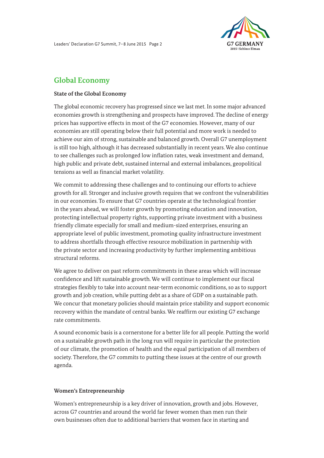

# **Global Economy**

## **State of the Global Economy**

The global economic recovery has progressed since we last met. In some major advanced economies growth is strengthening and prospects have improved. The decline of energy prices has supportive effects in most of the G7 economies. However, many of our economies are still operating below their full potential and more work is needed to achieve our aim of strong, sustainable and balanced growth. Overall G7 unemployment is still too high, although it has decreased substantially in recent years. We also continue to see challenges such as prolonged low inflation rates, weak investment and demand, high public and private debt, sustained internal and external imbalances, geopolitical tensions as well as financial market volatility.

 growth for all. Stronger and inclusive growth requires that we confront the vulnerabilities the private sector and increasing productivity by further implementing ambitious<br>structural reforms. We commit to addressing these challenges and to continuing our efforts to achieve in our economies. To ensure that G7 countries operate at the technological frontier in the years ahead, we will foster growth by promoting education and innovation, protecting intellectual property rights, supporting private investment with a business friendly climate especially for small and medium-sized enterprises, ensuring an appropriate level of public investment, promoting quality infrastructure investment to address shortfalls through effective resource mobilization in partnership with

We agree to deliver on past reform commitments in these areas which will increase confidence and lift sustainable growth. We will continue to implement our fiscal strategies flexibly to take into account near-term economic conditions, so as to support growth and job creation, while putting debt as a share of GDP on a sustainable path. We concur that monetary policies should maintain price stability and support economic recovery within the mandate of central banks. We reaffirm our existing G7 exchange rate commitments.

A sound economic basis is a cornerstone for a better life for all people. Putting the world on a sustainable growth path in the long run will require in particular the protection of our climate, the promotion of health and the equal participation of all members of society. Therefore, the G7 commits to putting these issues at the centre of our growth agenda.

# **Women's Entrepreneurship**

Women's entrepreneurship is a key driver of innovation, growth and jobs. However, across G7 countries and around the world far fewer women than men run their own businesses often due to additional barriers that women face in starting and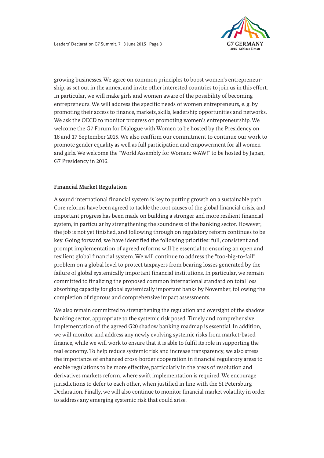

 We ask the OECD to monitor progress on promoting women's entrepreneurship. We growing businesses. We agree on common principles to boost women's entrepreneurship, as set out in the annex, and invite other interested countries to join us in this effort. In particular, we will make girls and women aware of the possibility of becoming entrepreneurs. We will address the specific needs of women entrepreneurs, e. g. by promoting their access to finance, markets, skills, leadership opportunities and networks. welcome the G7 Forum for Dialogue with Women to be hosted by the Presidency on 16 and 17 September 2015. We also reaffirm our commitment to continue our work to promote gender equality as well as full participation and empowerment for all women and girls. We welcome the "World Assembly for Women: WAW!" to be hosted by Japan, G7 Presidency in 2016.

#### **Financial Market Regulation**

problem on a global level to protect taxpayers from bearing losses generated by the A sound international financial system is key to putting growth on a sustainable path. Core reforms have been agreed to tackle the root causes of the global financial crisis, and important progress has been made on building a stronger and more resilient financial system, in particular by strengthening the soundness of the banking sector. However, the job is not yet finished, and following through on regulatory reform continues to be key. Going forward, we have identified the following priorities: full, consistent and prompt implementation of agreed reforms will be essential to ensuring an open and resilient global financial system. We will continue to address the "too-big-to-fail" failure of global systemically important financial institutions. In particular, we remain committed to finalizing the proposed common international standard on total loss absorbing capacity for global systemically important banks by November, following the completion of rigorous and comprehensive impact assessments.

We also remain committed to strengthening the regulation and oversight of the shadow banking sector, appropriate to the systemic risk posed. Timely and comprehensive implementation of the agreed G20 shadow banking roadmap is essential. In addition, we will monitor and address any newly evolving systemic risks from market-based finance, while we will work to ensure that it is able to fulfil its role in supporting the real economy. To help reduce systemic risk and increase transparency, we also stress the importance of enhanced cross-border cooperation in financial regulatory areas to enable regulations to be more effective, particularly in the areas of resolution and derivatives markets reform, where swift implementation is required. We encourage jurisdictions to defer to each other, when justified in line with the St Petersburg Declaration. Finally, we will also continue to monitor financial market volatility in order to address any emerging systemic risk that could arise.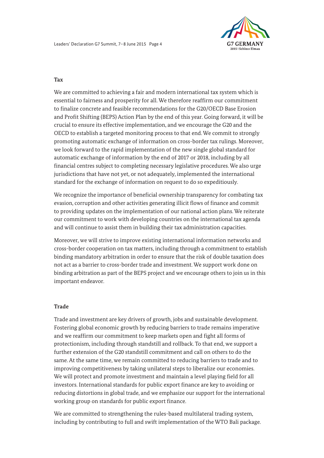

#### **Tax**

We are committed to achieving a fair and modern international tax system which is essential to fairness and prosperity for all. We therefore reaffirm our commitment to finalize concrete and feasible recommendations for the G20/OECD Base Erosion and Profit Shifting (BEPS) Action Plan by the end of this year. Going forward, it will be crucial to ensure its effective implementation, and we encourage the G20 and the OECD to establish a targeted monitoring process to that end. We commit to strongly promoting automatic exchange of information on cross-border tax rulings. Moreover, we look forward to the rapid implementation of the new single global standard for automatic exchange of information by the end of 2017 or 2018, including by all financial centres subject to completing necessary legislative procedures. We also urge jurisdictions that have not yet, or not adequately, implemented the international standard for the exchange of information on request to do so expeditiously.

We recognize the importance of beneficial ownership transparency for combating tax evasion, corruption and other activities generating illicit flows of finance and commit to providing updates on the implementation of our national action plans. We reiterate our commitment to work with developing countries on the international tax agenda and will continue to assist them in building their tax administration capacities.

Moreover, we will strive to improve existing international information networks and cross-border cooperation on tax matters, including through a commitment to establish binding mandatory arbitration in order to ensure that the risk of double taxation does not act as a barrier to cross-border trade and investment. We support work done on binding arbitration as part of the BEPS project and we encourage others to join us in this important endeavor.

#### **Trade**

Trade and investment are key drivers of growth, jobs and sustainable development. Fostering global economic growth by reducing barriers to trade remains imperative and we reaffirm our commitment to keep markets open and fight all forms of protectionism, including through standstill and rollback. To that end, we support a further extension of the G20 standstill commitment and call on others to do the same. At the same time, we remain committed to reducing barriers to trade and to improving competitiveness by taking unilateral steps to liberalize our economies. We will protect and promote investment and maintain a level playing field for all investors. International standards for public export finance are key to avoiding or reducing distortions in global trade, and we emphasize our support for the international working group on standards for public export finance.

We are committed to strengthening the rules-based multilateral trading system, including by contributing to full and swift implementation of the WTO Bali package.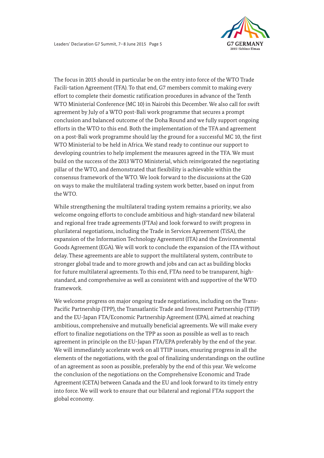

 developing countries to help implement the measures agreed in the TFA. We must The focus in 2015 should in particular be on the entry into force of the WTO Trade Facili-tation Agreement (TFA). To that end, G7 members commit to making every effort to complete their domestic ratification procedures in advance of the Tenth WTO Ministerial Conference (MC 10) in Nairobi this December. We also call for swift agreement by July of a WTO post-Bali work programme that secures a prompt conclusion and balanced outcome of the Doha Round and we fully support ongoing efforts in the WTO to this end. Both the implementation of the TFA and agreement on a post-Bali work programme should lay the ground for a successful MC 10, the first WTO Ministerial to be held in Africa. We stand ready to continue our support to build on the success of the 2013 WTO Ministerial, which reinvigorated the negotiating pillar of the WTO, and demonstrated that flexibility is achievable within the consensus framework of the WTO. We look forward to the discussions at the G20 on ways to make the multilateral trading system work better, based on input from the WTO.

and regional free trade agreements (FTAs) and look forward to swift progress in While strengthening the multilateral trading system remains a priority, we also welcome ongoing efforts to conclude ambitious and high-standard new bilateral plurilateral negotiations, including the Trade in Services Agreement (TiSA), the expansion of the Information Technology Agreement (ITA) and the Environmental Goods Agreement (EGA). We will work to conclude the expansion of the ITA without delay. These agreements are able to support the multilateral system, contribute to stronger global trade and to more growth and jobs and can act as building blocks for future multilateral agreements. To this end, FTAs need to be transparent, highstandard, and comprehensive as well as consistent with and supportive of the WTO framework.

We welcome progress on major ongoing trade negotiations, including on the Trans-Pacific Partnership (TPP), the Transatlantic Trade and Investment Partnership (TTIP) and the EU-Japan FTA/Economic Partnership Agreement (EPA), aimed at reaching ambitious, comprehensive and mutually beneficial agreements. We will make every effort to finalize negotiations on the TPP as soon as possible as well as to reach agreement in principle on the EU-Japan FTA/EPA preferably by the end of the year. We will immediately accelerate work on all TTIP issues, ensuring progress in all the elements of the negotiations, with the goal of finalizing understandings on the outline of an agreement as soon as possible, preferably by the end of this year. We welcome the conclusion of the negotiations on the Comprehensive Economic and Trade Agreement (CETA) between Canada and the EU and look forward to its timely entry into force. We will work to ensure that our bilateral and regional FTAs support the global economy.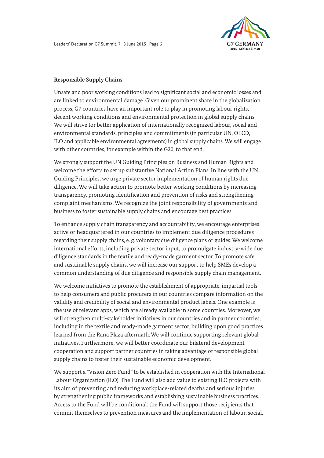

#### **Responsible Supply Chains**

Unsafe and poor working conditions lead to significant social and economic losses and are linked to environmental damage. Given our prominent share in the globalization process, G7 countries have an important role to play in promoting labour rights, decent working conditions and environmental protection in global supply chains. We will strive for better application of internationally recognized labour, social and environmental standards, principles and commitments (in particular UN, OECD, ILO and applicable environmental agreements) in global supply chains. We will engage with other countries, for example within the G20, to that end.

We strongly support the UN Guiding Principles on Business and Human Rights and welcome the efforts to set up substantive National Action Plans. In line with the UN Guiding Principles, we urge private sector implementation of human rights due diligence. We will take action to promote better working conditions by increasing transparency, promoting identification and prevention of risks and strengthening complaint mechanisms. We recognize the joint responsibility of governments and business to foster sustainable supply chains and encourage best practices.

To enhance supply chain transparency and accountability, we encourage enterprises active or headquartered in our countries to implement due diligence procedures regarding their supply chains, e. g. voluntary due diligence plans or guides. We welcome international efforts, including private sector input, to promulgate industry-wide due diligence standards in the textile and ready-made garment sector. To promote safe and sustainable supply chains, we will increase our support to help SMEs develop a common understanding of due diligence and responsible supply chain management.

We welcome initiatives to promote the establishment of appropriate, impartial tools to help consumers and public procurers in our countries compare information on the validity and credibility of social and environmental product labels. One example is the use of relevant apps, which are already available in some countries. Moreover, we will strengthen multi-stakeholder initiatives in our countries and in partner countries, including in the textile and ready-made garment sector, building upon good practices learned from the Rana Plaza aftermath. We will continue supporting relevant global initiatives. Furthermore, we will better coordinate our bilateral development cooperation and support partner countries in taking advantage of responsible global supply chains to foster their sustainable economic development.

We support a "Vision Zero Fund" to be established in cooperation with the International Labour Organization (ILO). The Fund will also add value to existing ILO projects with its aim of preventing and reducing workplace-related deaths and serious injuries by strengthening public frameworks and establishing sustainable business practices. Access to the Fund will be conditional: the Fund will support those recipients that commit themselves to prevention measures and the implementation of labour, social,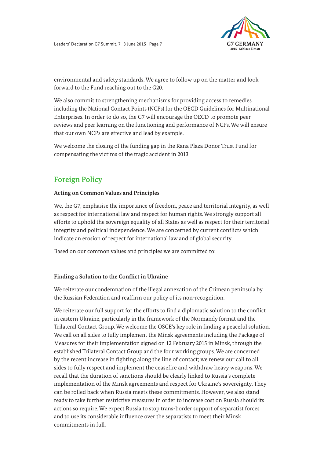

environmental and safety standards. We agree to follow up on the matter and look forward to the Fund reaching out to the G20.

We also commit to strengthening mechanisms for providing access to remedies including the National Contact Points (NCPs) for the OECD Guidelines for Multinational Enterprises. In order to do so, the G7 will encourage the OECD to promote peer reviews and peer learning on the functioning and performance of NCPs. We will ensure that our own NCPs are effective and lead by example.

We welcome the closing of the funding gap in the Rana Plaza Donor Trust Fund for compensating the victims of the tragic accident in 2013.

# **Foreign Policy**

# **Acting on Common Values and Principles**

We, the G7, emphasise the importance of freedom, peace and territorial integrity, as well as respect for international law and respect for human rights. We strongly support all efforts to uphold the sovereign equality of all States as well as respect for their territorial integrity and political independence. We are concerned by current conflicts which indicate an erosion of respect for international law and of global security.

Based on our common values and principles we are committed to:

# **Finding a Solution to the Conflict in Ukraine**

We reiterate our condemnation of the illegal annexation of the Crimean peninsula by the Russian Federation and reaffirm our policy of its non-recognition.

 sides to fully respect and implement the ceasefire and withdraw heavy weapons. We implementation of the Minsk agreements and respect for Ukraine's sovereignty. They We reiterate our full support for the efforts to find a diplomatic solution to the conflict in eastern Ukraine, particularly in the framework of the Normandy format and the Trilateral Contact Group. We welcome the OSCE's key role in finding a peaceful solution. We call on all sides to fully implement the Minsk agreements including the Package of Measures for their implementation signed on 12 February 2015 in Minsk, through the established Trilateral Contact Group and the four working groups. We are concerned by the recent increase in fighting along the line of contact; we renew our call to all recall that the duration of sanctions should be clearly linked to Russia's complete can be rolled back when Russia meets these commitments. However, we also stand ready to take further restrictive measures in order to increase cost on Russia should its actions so require. We expect Russia to stop trans-border support of separatist forces and to use its considerable influence over the separatists to meet their Minsk commitments in full.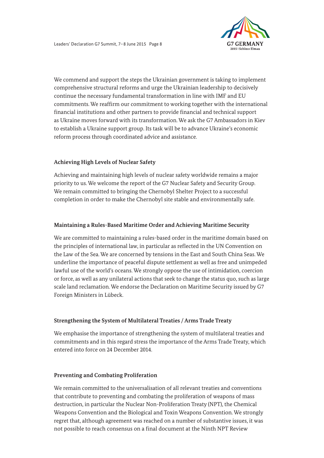

continue the necessary fundamental transformation in line with IMF and EU We commend and support the steps the Ukrainian government is taking to implement comprehensive structural reforms and urge the Ukrainian leadership to decisively commitments. We reaffirm our commitment to working together with the international financial institutions and other partners to provide financial and technical support as Ukraine moves forward with its transformation. We ask the G7 Ambassadors in Kiev to establish a Ukraine support group. Its task will be to advance Ukraine's economic reform process through coordinated advice and assistance.

# **Achieving High Levels of Nuclear Safety**

Achieving and maintaining high levels of nuclear safety worldwide remains a major priority to us. We welcome the report of the G7 Nuclear Safety and Security Group. We remain committed to bringing the Chernobyl Shelter Project to a successful completion in order to make the Chernobyl site stable and environmentally safe.

# **Maintaining a Rules-Based Maritime Order and Achieving Maritime Security**

 the Law of the Sea. We are concerned by tensions in the East and South China Seas. We We are committed to maintaining a rules-based order in the maritime domain based on the principles of international law, in particular as reflected in the UN Convention on underline the importance of peaceful dispute settlement as well as free and unimpeded lawful use of the world's oceans. We strongly oppose the use of intimidation, coercion or force, as well as any unilateral actions that seek to change the status quo, such as large scale land reclamation. We endorse the Declaration on Maritime Security issued by G7 Foreign Ministers in Lübeck.

# **Strengthening the System of Multilateral Treaties / Arms Trade Treaty**

We emphasise the importance of strengthening the system of multilateral treaties and commitments and in this regard stress the importance of the Arms Trade Treaty, which entered into force on 24 December 2014.

# **Preventing and Combating Proliferation**

We remain committed to the universalisation of all relevant treaties and conventions that contribute to preventing and combating the proliferation of weapons of mass destruction, in particular the Nuclear Non-Proliferation Treaty (NPT), the Chemical Weapons Convention and the Biological and Toxin Weapons Convention. We strongly regret that, although agreement was reached on a number of substantive issues, it was not possible to reach consensus on a final document at the Ninth NPT Review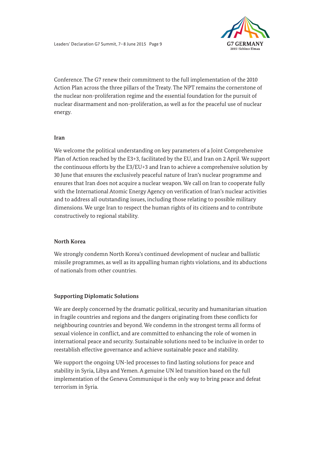

 Conference. The G7 renew their commitment to the full implementation of the 2010 Action Plan across the three pillars of the Treaty. The NPT remains the cornerstone of the nuclear non-proliferation regime and the essential foundation for the pursuit of nuclear disarmament and non-proliferation, as well as for the peaceful use of nuclear energy.

#### **Iran**

 Plan of Action reached by the E3+3, facilitated by the EU, and Iran on 2 April. We support We welcome the political understanding on key parameters of a Joint Comprehensive the continuous efforts by the E3/EU+3 and Iran to achieve a comprehensive solution by 30 June that ensures the exclusively peaceful nature of Iran's nuclear programme and ensures that Iran does not acquire a nuclear weapon. We call on Iran to cooperate fully with the International Atomic Energy Agency on verification of Iran's nuclear activities and to address all outstanding issues, including those relating to possible military dimensions. We urge Iran to respect the human rights of its citizens and to contribute constructively to regional stability.

# **North Korea**

We strongly condemn North Korea's continued development of nuclear and ballistic missile programmes, as well as its appalling human rights violations, and its abductions of nationals from other countries.

# **Supporting Diplomatic Solutions**

We are deeply concerned by the dramatic political, security and humanitarian situation in fragile countries and regions and the dangers originating from these conflicts for neighbouring countries and beyond. We condemn in the strongest terms all forms of sexual violence in conflict, and are committed to enhancing the role of women in international peace and security. Sustainable solutions need to be inclusive in order to reestablish effective governance and achieve sustainable peace and stability.

We support the ongoing UN-led processes to find lasting solutions for peace and stability in Syria, Libya and Yemen. A genuine UN led transition based on the full implementation of the Geneva Communiqué is the only way to bring peace and defeat terrorism in Syria.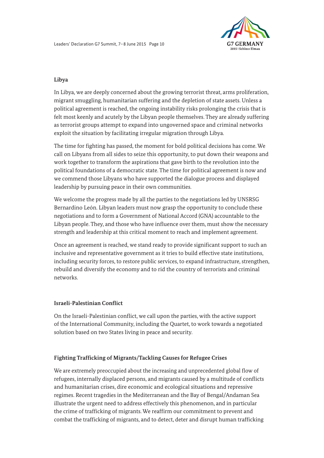

## **Libya**

In Libya, we are deeply concerned about the growing terrorist threat, arms proliferation, migrant smuggling, humanitarian suffering and the depletion of state assets. Unless a political agreement is reached, the ongoing instability risks prolonging the crisis that is felt most keenly and acutely by the Libyan people themselves. They are already suffering as terrorist groups attempt to expand into ungoverned space and criminal networks exploit the situation by facilitating irregular migration through Libya.

 The time for fighting has passed, the moment for bold political decisions has come. We call on Libyans from all sides to seize this opportunity, to put down their weapons and work together to transform the aspirations that gave birth to the revolution into the political foundations of a democratic state. The time for political agreement is now and we commend those Libyans who have supported the dialogue process and displayed leadership by pursuing peace in their own communities.

We welcome the progress made by all the parties to the negotiations led by UNSRSG Bernardino León. Libyan leaders must now grasp the opportunity to conclude these negotiations and to form a Government of National Accord (GNA) accountable to the Libyan people. They, and those who have influence over them, must show the necessary strength and leadership at this critical moment to reach and implement agreement.

Once an agreement is reached, we stand ready to provide significant support to such an inclusive and representative government as it tries to build effective state institutions, including security forces, to restore public services, to expand infrastructure, strengthen, rebuild and diversify the economy and to rid the country of terrorists and criminal networks.

#### **Israeli-Palestinian Conflict**

On the Israeli-Palestinian conflict, we call upon the parties, with the active support of the International Community, including the Quartet, to work towards a negotiated solution based on two States living in peace and security.

# **Fighting Trafficking of Migrants/Tackling Causes for Refugee Crises**

We are extremely preoccupied about the increasing and unprecedented global flow of refugees, internally displaced persons, and migrants caused by a multitude of conflicts and humanitarian crises, dire economic and ecological situations and repressive regimes. Recent tragedies in the Mediterranean and the Bay of Bengal/Andaman Sea illustrate the urgent need to address effectively this phenomenon, and in particular the crime of trafficking of migrants. We reaffirm our commitment to prevent and combat the trafficking of migrants, and to detect, deter and disrupt human trafficking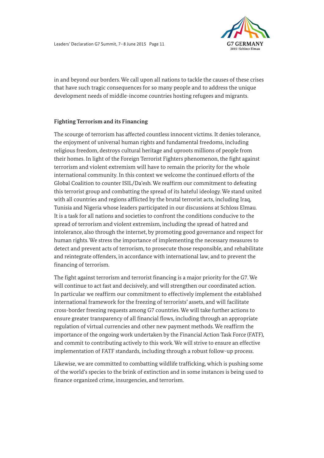

in and beyond our borders. We call upon all nations to tackle the causes of these crises that have such tragic consequences for so many people and to address the unique development needs of middle-income countries hosting refugees and migrants.

#### **Fighting Terrorism and its Financing**

The scourge of terrorism has affected countless innocent victims. It denies tolerance, the enjoyment of universal human rights and fundamental freedoms, including religious freedom, destroys cultural heritage and uproots millions of people from their homes. In light of the Foreign Terrorist Fighters phenomenon, the fight against terrorism and violent extremism will have to remain the priority for the whole international community. In this context we welcome the continued efforts of the Global Coalition to counter ISIL/Da'esh. We reaffirm our commitment to defeating this terrorist group and combatting the spread of its hateful ideology. We stand united with all countries and regions afflicted by the brutal terrorist acts, including Iraq, Tunisia and Nigeria whose leaders participated in our discussions at Schloss Elmau. It is a task for all nations and societies to confront the conditions conducive to the spread of terrorism and violent extremism, including the spread of hatred and intolerance, also through the internet, by promoting good governance and respect for human rights. We stress the importance of implementing the necessary measures to detect and prevent acts of terrorism, to prosecute those responsible, and rehabilitate and reintegrate offenders, in accordance with international law, and to prevent the financing of terrorism.

 The fight against terrorism and terrorist financing is a major priority for the G7. We will continue to act fast and decisively, and will strengthen our coordinated action. In particular we reaffirm our commitment to effectively implement the established international framework for the freezing of terrorists' assets, and will facilitate cross-border freezing requests among G7 countries. We will take further actions to ensure greater transparency of all financial flows, including through an appropriate regulation of virtual currencies and other new payment methods. We reaffirm the importance of the ongoing work undertaken by the Financial Action Task Force (FATF), and commit to contributing actively to this work. We will strive to ensure an effective implementation of FATF standards, including through a robust follow-up process.

Likewise, we are committed to combatting wildlife trafficking, which is pushing some of the world's species to the brink of extinction and in some instances is being used to finance organized crime, insurgencies, and terrorism.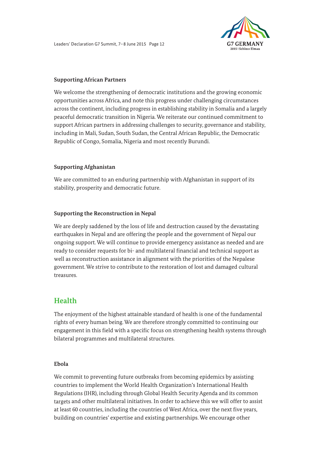

#### **Supporting African Partners**

We welcome the strengthening of democratic institutions and the growing economic opportunities across Africa, and note this progress under challenging circumstances across the continent, including progress in establishing stability in Somalia and a largely peaceful democratic transition in Nigeria. We reiterate our continued commitment to support African partners in addressing challenges to security, governance and stability, including in Mali, Sudan, South Sudan, the Central African Republic, the Democratic Republic of Congo, Somalia, Nigeria and most recently Burundi.

# **Supporting Afghanistan**

We are committed to an enduring partnership with Afghanistan in support of its stability, prosperity and democratic future.

#### **Supporting the Reconstruction in Nepal**

We are deeply saddened by the loss of life and destruction caused by the devastating earthquakes in Nepal and are offering the people and the government of Nepal our ongoing support. We will continue to provide emergency assistance as needed and are ready to consider requests for bi- and multilateral financial and technical support as well as reconstruction assistance in alignment with the priorities of the Nepalese government. We strive to contribute to the restoration of lost and damaged cultural treasures.

# **Health**

The enjoyment of the highest attainable standard of health is one of the fundamental rights of every human being. We are therefore strongly committed to continuing our engagement in this field with a specific focus on strengthening health systems through bilateral programmes and multilateral structures.

#### **Ebola**

We commit to preventing future outbreaks from becoming epidemics by assisting countries to implement the World Health Organization's International Health Regulations (IHR), including through Global Health Security Agenda and its common targets and other multilateral initiatives. In order to achieve this we will offer to assist at least 60 countries, including the countries of West Africa, over the next five years, building on countries' expertise and existing partnerships. We encourage other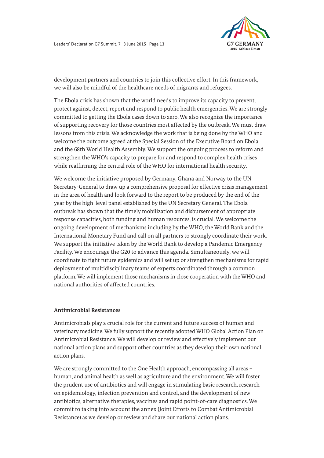

development partners and countries to join this collective effort. In this framework, we will also be mindful of the healthcare needs of migrants and refugees.

The Ebola crisis has shown that the world needs to improve its capacity to prevent, protect against, detect, report and respond to public health emergencies. We are strongly committed to getting the Ebola cases down to zero. We also recognize the importance of supporting recovery for those countries most affected by the outbreak. We must draw lessons from this crisis. We acknowledge the work that is being done by the WHO and welcome the outcome agreed at the Special Session of the Executive Board on Ebola and the 68th World Health Assembly. We support the ongoing process to reform and strengthen the WHO's capacity to prepare for and respond to complex health crises while reaffirming the central role of the WHO for international health security.

 year by the high-level panel established by the UN Secretary General. The Ebola We welcome the initiative proposed by Germany, Ghana and Norway to the UN Secretary-General to draw up a comprehensive proposal for effective crisis management in the area of health and look forward to the report to be produced by the end of the outbreak has shown that the timely mobilization and disbursement of appropriate response capacities, both funding and human resources, is crucial. We welcome the ongoing development of mechanisms including by the WHO, the World Bank and the International Monetary Fund and call on all partners to strongly coordinate their work. We support the initiative taken by the World Bank to develop a Pandemic Emergency Facility. We encourage the G20 to advance this agenda. Simultaneously, we will coordinate to fight future epidemics and will set up or strengthen mechanisms for rapid deployment of multidisciplinary teams of experts coordinated through a common platform. We will implement those mechanisms in close cooperation with the WHO and national authorities of affected countries.

#### **Antimicrobial Resistances**

Antimicrobials play a crucial role for the current and future success of human and veterinary medicine. We fully support the recently adopted WHO Global Action Plan on Antimicrobial Resistance. We will develop or review and effectively implement our national action plans and support other countries as they develop their own national action plans.

 antibiotics, alternative therapies, vaccines and rapid point-of-care diagnostics. We We are strongly committed to the One Health approach, encompassing all areas human, and animal health as well as agriculture and the environment. We will foster the prudent use of antibiotics and will engage in stimulating basic research, research on epidemiology, infection prevention and control, and the development of new commit to taking into account the annex (Joint Efforts to Combat Antimicrobial Resistance) as we develop or review and share our national action plans.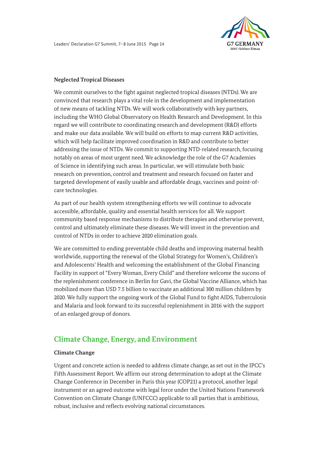

#### **Neglected Tropical Diseases**

 We commit ourselves to the fight against neglected tropical diseases (NTDs). We are convinced that research plays a vital role in the development and implementation notably on areas of most urgent need. We acknowledge the role of the G7 Academies of new means of tackling NTDs. We will work collaboratively with key partners, including the WHO Global Observatory on Health Research and Development. In this regard we will contribute to coordinating research and development (R&D) efforts and make our data available. We will build on efforts to map current R&D activities, which will help facilitate improved coordination in R&D and contribute to better addressing the issue of NTDs. We commit to supporting NTD-related research, focusing of Science in identifying such areas. In particular, we will stimulate both basic research on prevention, control and treatment and research focused on faster and targeted development of easily usable and affordable drugs, vaccines and point-ofcare technologies.

accessible, affordable, quality and essential health services for all. We support As part of our health system strengthening efforts we will continue to advocate community based response mechanisms to distribute therapies and otherwise prevent, control and ultimately eliminate these diseases. We will invest in the prevention and control of NTDs in order to achieve 2020 elimination goals.

We are committed to ending preventable child deaths and improving maternal health worldwide, supporting the renewal of the Global Strategy for Women's, Children's and Adolescents' Health and welcoming the establishment of the Global Financing Facility in support of "Every Woman, Every Child" and therefore welcome the success of the replenishment conference in Berlin for Gavi, the Global Vaccine Alliance, which has mobilized more than USD 7.5 billion to vaccinate an additional 300 million children by 2020. We fully support the ongoing work of the Global Fund to fight AIDS, Tuberculosis and Malaria and look forward to its successful replenishment in 2016 with the support of an enlarged group of donors.

# **Climate Change, Energy, and Environment**

# **Climate Change**

Urgent and concrete action is needed to address climate change, as set out in the IPCC's Fifth Assessment Report. We affirm our strong determination to adopt at the Climate Change Conference in December in Paris this year (COP21) a protocol, another legal instrument or an agreed outcome with legal force under the United Nations Framework Convention on Climate Change (UNFCCC) applicable to all parties that is ambitious, robust, inclusive and reflects evolving national circumstances.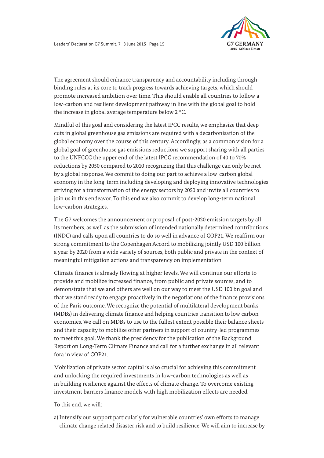

The agreement should enhance transparency and accountability including through binding rules at its core to track progress towards achieving targets, which should promote increased ambition over time. This should enable all countries to follow a low-carbon and resilient development pathway in line with the global goal to hold the increase in global average temperature below 2 °C.

Mindful of this goal and considering the latest IPCC results, we emphasize that deep cuts in global greenhouse gas emissions are required with a decarbonisation of the global economy over the course of this century. Accordingly, as a common vision for a global goal of greenhouse gas emissions reductions we support sharing with all parties to the UNFCCC the upper end of the latest IPCC recommendation of 40 to 70% reductions by 2050 compared to 2010 recognizing that this challenge can only be met by a global response. We commit to doing our part to achieve a low-carbon global economy in the long-term including developing and deploying innovative technologies striving for a transformation of the energy sectors by 2050 and invite all countries to join us in this endeavor. To this end we also commit to develop long-term national low-carbon strategies.

The G7 welcomes the announcement or proposal of post-2020 emission targets by all its members, as well as the submission of intended nationally determined contributions (INDC) and calls upon all countries to do so well in advance of COP21. We reaffirm our strong commitment to the Copenhagen Accord to mobilizing jointly USD 100 billion a year by 2020 from a wide variety of sources, both public and private in the context of meaningful mitigation actions and transparency on implementation.

provide and mobilize increased finance, from public and private sources, and to Climate finance is already flowing at higher levels. We will continue our efforts to demonstrate that we and others are well on our way to meet the USD 100 bn goal and that we stand ready to engage proactively in the negotiations of the finance provisions of the Paris outcome. We recognize the potential of multilateral development banks (MDBs) in delivering climate finance and helping countries transition to low carbon economies. We call on MDBs to use to the fullest extent possible their balance sheets and their capacity to mobilize other partners in support of country-led programmes to meet this goal. We thank the presidency for the publication of the Background Report on Long-Term Climate Finance and call for a further exchange in all relevant fora in view of COP21.

Mobilization of private sector capital is also crucial for achieving this commitment and unlocking the required investments in low-carbon technologies as well as in building resilience against the effects of climate change. To overcome existing investment barriers finance models with high mobilization effects are needed.

To this end, we will:

a) Intensify our support particularly for vulnerable countries' own efforts to manage climate change related disaster risk and to build resilience. We will aim to increase by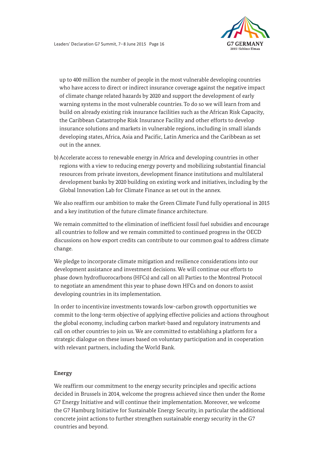

 developing states, Africa, Asia and Pacific, Latin America and the Caribbean as set up to 400 million the number of people in the most vulnerable developing countries who have access to direct or indirect insurance coverage against the negative impact of climate change related hazards by 2020 and support the development of early warning systems in the most vulnerable countries. To do so we will learn from and build on already existing risk insurance facilities such as the African Risk Capacity, the Caribbean Catastrophe Risk Insurance Facility and other efforts to develop insurance solutions and markets in vulnerable regions, including in small islands out in the annex.

b) Accelerate access to renewable energy in Africa and developing countries in other regions with a view to reducing energy poverty and mobilizing substantial financial resources from private investors, development finance institutions and multilateral development banks by 2020 building on existing work and initiatives, including by the Global Innovation Lab for Climate Finance as set out in the annex.

We also reaffirm our ambition to make the Green Climate Fund fully operational in 2015 and a key institution of the future climate finance architecture.

We remain committed to the elimination of inefficient fossil fuel subsidies and encourage all countries to follow and we remain committed to continued progress in the OECD discussions on how export credits can contribute to our common goal to address climate change.

We pledge to incorporate climate mitigation and resilience considerations into our development assistance and investment decisions. We will continue our efforts to phase down hydrofluorocarbons (HFCs) and call on all Parties to the Montreal Protocol to negotiate an amendment this year to phase down HFCs and on donors to assist developing countries in its implementation.

In order to incentivize investments towards low-carbon growth opportunities we commit to the long-term objective of applying effective policies and actions throughout the global economy, including carbon market-based and regulatory instruments and call on other countries to join us. We are committed to establishing a platform for a strategic dialogue on these issues based on voluntary participation and in cooperation with relevant partners, including the World Bank.

#### **Energy**

We reaffirm our commitment to the energy security principles and specific actions decided in Brussels in 2014, welcome the progress achieved since then under the Rome G7 Energy Initiative and will continue their implementation. Moreover, we welcome the G7 Hamburg Initiative for Sustainable Energy Security, in particular the additional concrete joint actions to further strengthen sustainable energy security in the G7 countries and beyond.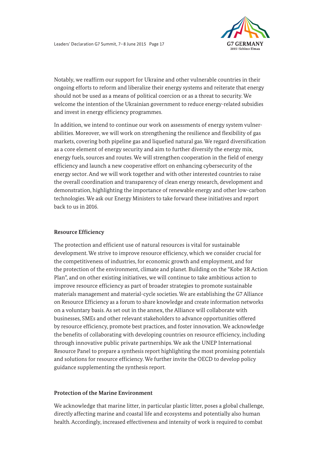

 should not be used as a means of political coercion or as a threat to security. We Notably, we reaffirm our support for Ukraine and other vulnerable countries in their ongoing efforts to reform and liberalize their energy systems and reiterate that energy welcome the intention of the Ukrainian government to reduce energy-related subsidies and invest in energy efficiency programmes.

In addition, we intend to continue our work on assessments of energy system vulnerabilities. Moreover, we will work on strengthening the resilience and flexibility of gas markets, covering both pipeline gas and liquefied natural gas. We regard diversification as a core element of energy security and aim to further diversify the energy mix, energy fuels, sources and routes. We will strengthen cooperation in the field of energy efficiency and launch a new cooperative effort on enhancing cybersecurity of the energy sector. And we will work together and with other interested countries to raise the overall coordination and transparency of clean energy research, development and demonstration, highlighting the importance of renewable energy and other low-carbon technologies. We ask our Energy Ministers to take forward these initiatives and report back to us in 2016.

## **Resource Efficiency**

The protection and efficient use of natural resources is vital for sustainable development. We strive to improve resource efficiency, which we consider crucial for the competitiveness of industries, for economic growth and employment, and for the protection of the environment, climate and planet. Building on the "Kobe 3R Action Plan", and on other existing initiatives, we will continue to take ambitious action to improve resource efficiency as part of broader strategies to promote sustainable materials management and material-cycle societies. We are establishing the G7 Alliance on Resource Efficiency as a forum to share knowledge and create information networks on a voluntary basis. As set out in the annex, the Alliance will collaborate with businesses, SMEs and other relevant stakeholders to advance opportunities offered by resource efficiency, promote best practices, and foster innovation. We acknowledge the benefits of collaborating with developing countries on resource efficiency, including through innovative public private partnerships. We ask the UNEP International Resource Panel to prepare a synthesis report highlighting the most promising potentials and solutions for resource efficiency. We further invite the OECD to develop policy guidance supplementing the synthesis report.

#### **Protection of the Marine Environment**

We acknowledge that marine litter, in particular plastic litter, poses a global challenge, directly affecting marine and coastal life and ecosystems and potentially also human health. Accordingly, increased effectiveness and intensity of work is required to combat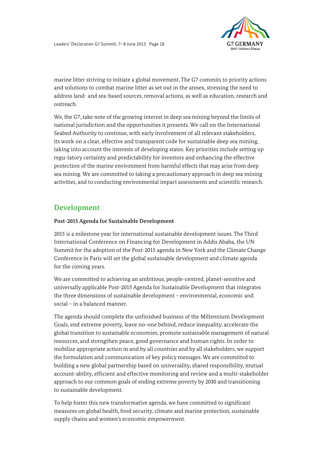

marine litter striving to initiate a global movement. The G7 commits to priority actions and solutions to combat marine litter as set out in the annex, stressing the need to address land- and sea-based sources, removal actions, as well as education, research and outreach.

We, the G7, take note of the growing interest in deep sea mining beyond the limits of national jurisdiction and the opportunities it presents. We call on the International Seabed Authority to continue, with early involvement of all relevant stakeholders, its work on a clear, effective and transparent code for sustainable deep sea mining, taking into account the interests of developing states. Key priorities include setting up regu-latory certainty and predictability for investors and enhancing the effective protection of the marine environment from harmful effects that may arise from deep sea mining. We are committed to taking a precautionary approach in deep sea mining activities, and to conducting environmental impact assessments and scientific research.

# **Development**

# **Post-2015 Agenda for Sustainable Development**

 2015 is a milestone year for international sustainable development issues. The Third International Conference on Financing for Development in Addis Ababa, the UN Summit for the adoption of the Post-2015 agenda in New York and the Climate Change Conference in Paris will set the global sustainable development and climate agenda for the coming years.

We are committed to achieving an ambitious, people-centred, planet-sensitive and universally applicable Post-2015 Agenda for Sustainable Development that integrates the three dimensions of sustainable development – environmental, economic and social – in a balanced manner.

The agenda should complete the unfinished business of the Millennium Development Goals, end extreme poverty, leave no-one behind, reduce inequality, accelerate the global transition to sustainable economies, promote sustainable management of natural resources, and strengthen peace, good governance and human rights. In order to mobilize appropriate action in and by all countries and by all stakeholders, we support the formulation and communication of key policy messages. We are committed to building a new global partnership based on universality, shared responsibility, mutual account-ability, efficient and effective monitoring and review and a multi-stakeholder approach to our common goals of ending extreme poverty by 2030 and transitioning to sustainable development.

To help foster this new transformative agenda, we have committed to significant measures on global health, food security, climate and marine protection, sustainable supply chains and women's economic empowerment.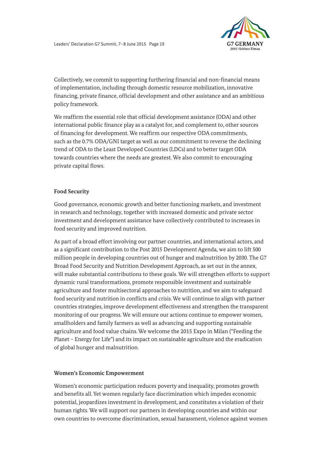

Collectively, we commit to supporting furthering financial and non-financial means of implementation, including through domestic resource mobilization, innovative financing, private finance, official development and other assistance and an ambitious policy framework.

We reaffirm the essential role that official development assistance (ODA) and other international public finance play as a catalyst for, and complement to, other sources of financing for development. We reaffirm our respective ODA commitments, such as the 0.7% ODA/GNI target as well as our commitment to reverse the declining trend of ODA to the Least Developed Countries (LDCs) and to better target ODA towards countries where the needs are greatest. We also commit to encouraging private capital flows.

# **Food Security**

Good governance, economic growth and better functioning markets, and investment in research and technology, together with increased domestic and private sector investment and development assistance have collectively contributed to increases in food security and improved nutrition.

 million people in developing countries out of hunger and malnutrition by 2030. The G7 As part of a broad effort involving our partner countries, and international actors, and as a significant contribution to the Post 2015 Development Agenda, we aim to lift 500 Broad Food Security and Nutrition Development Approach, as set out in the annex, will make substantial contributions to these goals. We will strengthen efforts to support dynamic rural transformations, promote responsible investment and sustainable agriculture and foster multisectoral approaches to nutrition, and we aim to safeguard food security and nutrition in conflicts and crisis. We will continue to align with partner countries strategies, improve development effectiveness and strengthen the transparent monitoring of our progress. We will ensure our actions continue to empower women, smallholders and family farmers as well as advancing and supporting sustainable agriculture and food value chains. We welcome the 2015 Expo in Milan ("Feeding the Planet – Energy for Life") and its impact on sustainable agriculture and the eradication of global hunger and malnutrition.

#### **Women's Economic Empowerment**

Women's economic participation reduces poverty and inequality, promotes growth and benefits all. Yet women regularly face discrimination which impedes economic potential, jeopardizes investment in development, and constitutes a violation of their human rights. We will support our partners in developing countries and within our own countries to overcome discrimination, sexual harassment, violence against women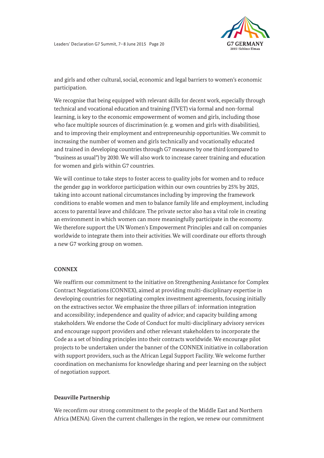

and girls and other cultural, social, economic and legal barriers to women's economic participation.

 and trained in developing countries through G7 measures by one third (compared to We recognise that being equipped with relevant skills for decent work, especially through technical and vocational education and training (TVET) via formal and non-formal learning, is key to the economic empowerment of women and girls, including those who face multiple sources of discrimination (e. g. women and girls with disabilities), and to improving their employment and entrepreneurship opportunities. We commit to increasing the number of women and girls technically and vocationally educated "business as usual") by 2030. We will also work to increase career training and education for women and girls within G7 countries.

We will continue to take steps to foster access to quality jobs for women and to reduce the gender gap in workforce participation within our own countries by 25% by 2025, taking into account national circumstances including by improving the framework conditions to enable women and men to balance family life and employment, including access to parental leave and childcare. The private sector also has a vital role in creating an environment in which women can more meaningfully participate in the economy. We therefore support the UN Women's Empowerment Principles and call on companies worldwide to integrate them into their activities. We will coordinate our efforts through a new G7 working group on women.

#### **CONNEX**

 Code as a set of binding principles into their contracts worldwide. We encourage pilot We reaffirm our commitment to the initiative on Strengthening Assistance for Complex Contract Negotiations (CONNEX), aimed at providing multi-disciplinary expertise in developing countries for negotiating complex investment agreements, focusing initially on the extractives sector. We emphasize the three pillars of: information integration and accessibility; independence and quality of advice; and capacity building among stakeholders. We endorse the Code of Conduct for multi-disciplinary advisory services and encourage support providers and other relevant stakeholders to incorporate the projects to be undertaken under the banner of the CONNEX initiative in collaboration with support providers, such as the African Legal Support Facility. We welcome further coordination on mechanisms for knowledge sharing and peer learning on the subject of negotiation support.

#### **Deauville Partnership**

We reconfirm our strong commitment to the people of the Middle East and Northern Africa (MENA). Given the current challenges in the region, we renew our commitment